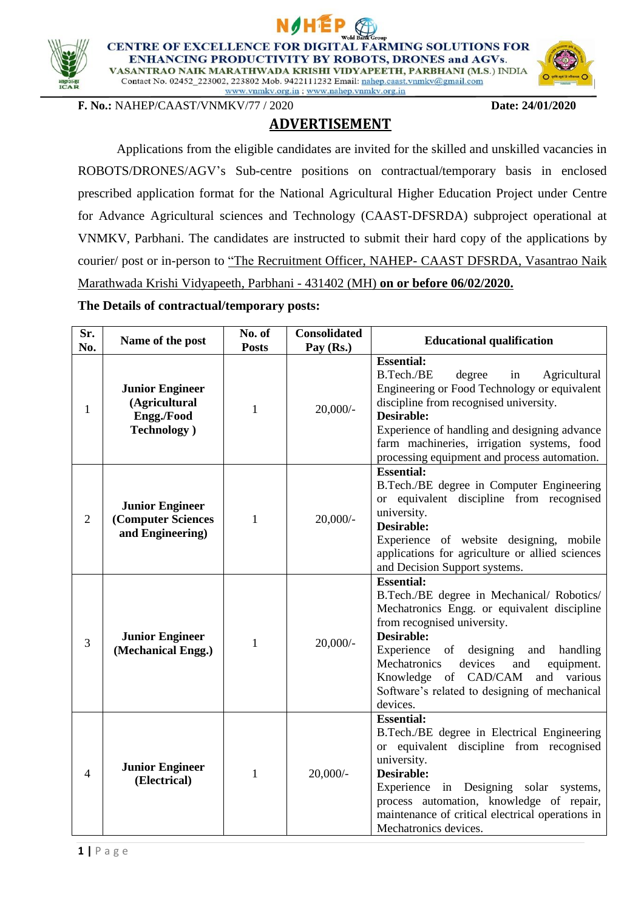



**CENTRE OF EXCELLENCE FOR DIGIT L FARMING SOLUTIONS FOR ENHANCING PRODUCTIVITY BY ROBOTS, DRONES and AGVs.** VASANTRAO NAIK MARATHWADA KRISHI VIDYAPEETH, PARBHANI (M.S.) INDIA

Contact No. 02452\_223002, 223802 Mob. 9422111232 Email: nahep.caast.vnmkv@gmail.com www.vnmkv.org.in; www.nahep.vnmkv.org.in

**F. No.:** NAHEP/CAAST/VNMKV/77 / 2020 **Date: 24/01/2020**

**ADVERTISEMENT**

Applications from the eligible candidates are invited for the skilled and unskilled vacancies in ROBOTS/DRONES/AGV's Sub-centre positions on contractual/temporary basis in enclosed prescribed application format for the National Agricultural Higher Education Project under Centre for Advance Agricultural sciences and Technology (CAAST-DFSRDA) subproject operational at VNMKV, Parbhani. The candidates are instructed to submit their hard copy of the applications by courier/ post or in-person to "The Recruitment Officer, NAHEP- CAAST DFSRDA, Vasantrao Naik Marathwada Krishi Vidyapeeth, Parbhani - 431402 (MH) **on or before 06/02/2020.**

# **The Details of contractual/temporary posts:**

| Sr.            | Name of the post                                                             | No. of       | <b>Consolidated</b> | <b>Educational qualification</b>                                                                                                                                                                                                                                                                                                                              |  |  |  |  |  |
|----------------|------------------------------------------------------------------------------|--------------|---------------------|---------------------------------------------------------------------------------------------------------------------------------------------------------------------------------------------------------------------------------------------------------------------------------------------------------------------------------------------------------------|--|--|--|--|--|
| No.            |                                                                              | <b>Posts</b> | Pay (Rs.)           | <b>Essential:</b>                                                                                                                                                                                                                                                                                                                                             |  |  |  |  |  |
| $\mathbf{1}$   | <b>Junior Engineer</b><br>(Agricultural<br>Engg./Food<br><b>Technology</b> ) | $\mathbf{1}$ | $20,000/$ -         | B.Tech./BE<br>degree<br>Agricultural<br>in<br>Engineering or Food Technology or equivalent<br>discipline from recognised university.<br>Desirable:<br>Experience of handling and designing advance<br>farm machineries, irrigation systems, food<br>processing equipment and process automation.                                                              |  |  |  |  |  |
| $\overline{2}$ | <b>Junior Engineer</b><br>(Computer Sciences<br>and Engineering)             | $\mathbf{1}$ | $20,000/$ -         | <b>Essential:</b><br>B.Tech./BE degree in Computer Engineering<br>or equivalent discipline from recognised<br>university.<br>Desirable:<br>Experience of website designing, mobile<br>applications for agriculture or allied sciences<br>and Decision Support systems.                                                                                        |  |  |  |  |  |
| 3              | <b>Junior Engineer</b><br>(Mechanical Engg.)                                 | 1            | $20,000/$ -         | <b>Essential:</b><br>B.Tech./BE degree in Mechanical/ Robotics/<br>Mechatronics Engg. or equivalent discipline<br>from recognised university.<br>Desirable:<br>Experience of designing<br>handling<br>and<br>devices<br>Mechatronics<br>and<br>equipment.<br>Knowledge of CAD/CAM<br>and various<br>Software's related to designing of mechanical<br>devices. |  |  |  |  |  |
| $\overline{4}$ | <b>Junior Engineer</b><br>(Electrical)                                       | $\mathbf{1}$ | $20,000/-$          | <b>Essential:</b><br>B.Tech./BE degree in Electrical Engineering<br>or equivalent discipline from recognised<br>university.<br>Desirable:<br>Experience in Designing solar systems,<br>process automation, knowledge of repair,<br>maintenance of critical electrical operations in<br>Mechatronics devices.                                                  |  |  |  |  |  |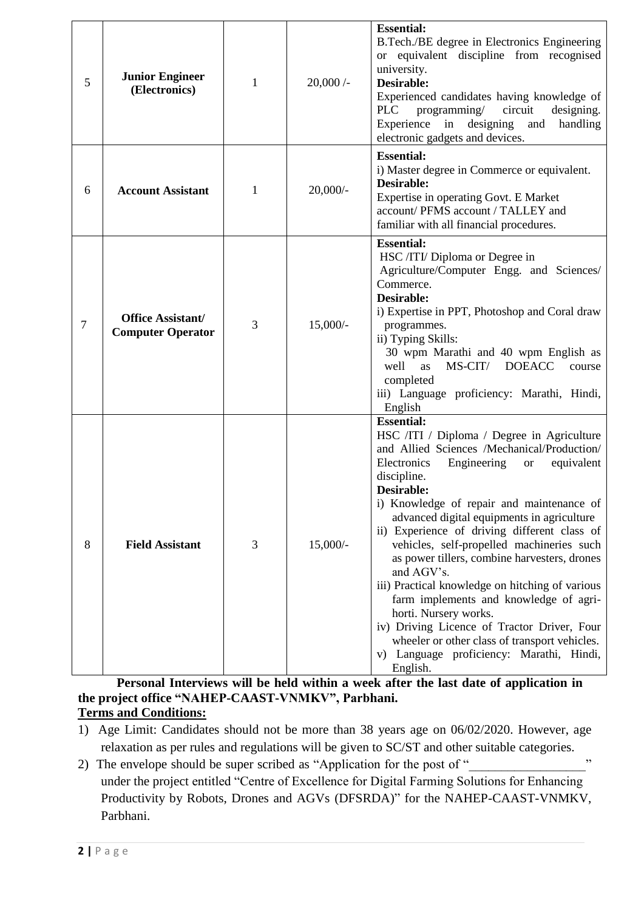| 5 | <b>Junior Engineer</b><br>(Electronics)              | 1 | $20,000/$ - | <b>Essential:</b><br>B.Tech./BE degree in Electronics Engineering<br>or equivalent discipline from recognised<br>university.<br><b>Desirable:</b><br>Experienced candidates having knowledge of<br><b>PLC</b><br>programming/<br>circuit<br>designing.<br>Experience in designing<br>handling<br>and<br>electronic gadgets and devices.                                                                                                                                                                                                                                                                                                                                                                                                            |
|---|------------------------------------------------------|---|-------------|----------------------------------------------------------------------------------------------------------------------------------------------------------------------------------------------------------------------------------------------------------------------------------------------------------------------------------------------------------------------------------------------------------------------------------------------------------------------------------------------------------------------------------------------------------------------------------------------------------------------------------------------------------------------------------------------------------------------------------------------------|
| 6 | <b>Account Assistant</b>                             | 1 | $20,000/$ - | <b>Essential:</b><br>i) Master degree in Commerce or equivalent.<br>Desirable:<br>Expertise in operating Govt. E Market<br>account/ PFMS account / TALLEY and<br>familiar with all financial procedures.                                                                                                                                                                                                                                                                                                                                                                                                                                                                                                                                           |
| 7 | <b>Office Assistant/</b><br><b>Computer Operator</b> | 3 | $15,000/-$  | <b>Essential:</b><br>HSC /ITI/ Diploma or Degree in<br>Agriculture/Computer Engg. and Sciences/<br>Commerce.<br>Desirable:<br>i) Expertise in PPT, Photoshop and Coral draw<br>programmes.<br>ii) Typing Skills:<br>30 wpm Marathi and 40 wpm English as<br>well<br>MS-CIT/<br><b>DOEACC</b><br><b>as</b><br>course<br>completed<br>iii) Language proficiency: Marathi, Hindi,<br>English                                                                                                                                                                                                                                                                                                                                                          |
| 8 | <b>Field Assistant</b>                               | 3 | $15,000/-$  | <b>Essential:</b><br>HSC /ITI / Diploma / Degree in Agriculture<br>and Allied Sciences /Mechanical/Production/<br>Electronics<br>Engineering<br>equivalent<br><b>or</b><br>discipline.<br><b>Desirable:</b><br>i) Knowledge of repair and maintenance of<br>advanced digital equipments in agriculture<br>ii) Experience of driving different class of<br>vehicles, self-propelled machineries such<br>as power tillers, combine harvesters, drones<br>and AGV's.<br>iii) Practical knowledge on hitching of various<br>farm implements and knowledge of agri-<br>horti. Nursery works.<br>iv) Driving Licence of Tractor Driver, Four<br>wheeler or other class of transport vehicles.<br>Language proficiency: Marathi, Hindi,<br>V)<br>English. |

**Personal Interviews will be held within a week after the last date of application in the project office "NAHEP-CAAST-VNMKV", Parbhani. Terms and Conditions:** 

- 1) Age Limit: Candidates should not be more than 38 years age on 06/02/2020. However, age relaxation as per rules and regulations will be given to SC/ST and other suitable categories.
- 2) The envelope should be super scribed as "Application for the post of " $\cdots$ under the project entitled "Centre of Excellence for Digital Farming Solutions for Enhancing Productivity by Robots, Drones and AGVs (DFSRDA)" for the NAHEP-CAAST-VNMKV, Parbhani.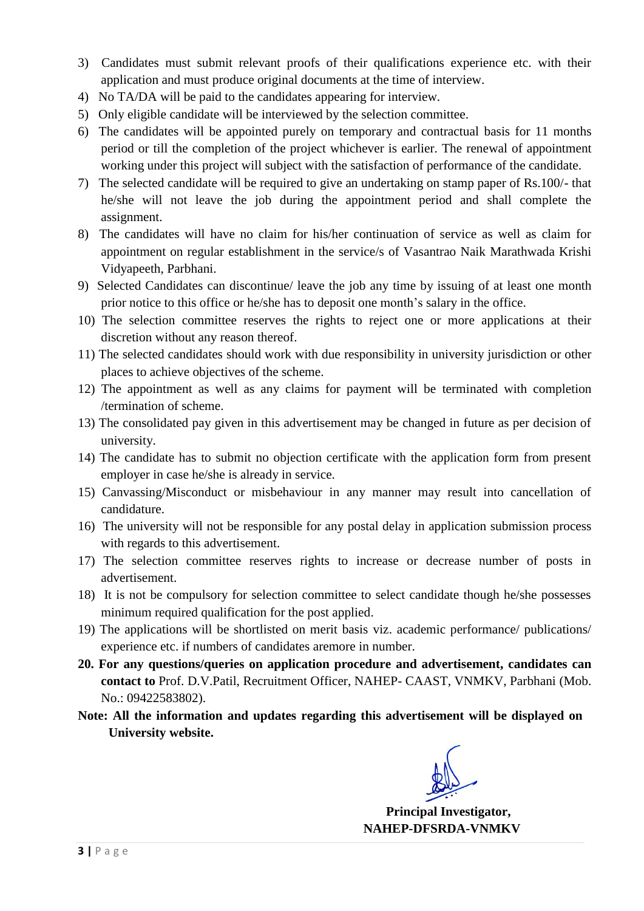- 3) Candidates must submit relevant proofs of their qualifications experience etc. with their application and must produce original documents at the time of interview.
- 4) No TA/DA will be paid to the candidates appearing for interview.
- 5) Only eligible candidate will be interviewed by the selection committee.
- 6) The candidates will be appointed purely on temporary and contractual basis for 11 months period or till the completion of the project whichever is earlier. The renewal of appointment working under this project will subject with the satisfaction of performance of the candidate.
- 7) The selected candidate will be required to give an undertaking on stamp paper of Rs.100/- that he/she will not leave the job during the appointment period and shall complete the assignment.
- 8) The candidates will have no claim for his/her continuation of service as well as claim for appointment on regular establishment in the service/s of Vasantrao Naik Marathwada Krishi Vidyapeeth, Parbhani.
- 9) Selected Candidates can discontinue/ leave the job any time by issuing of at least one month prior notice to this office or he/she has to deposit one month's salary in the office.
- 10) The selection committee reserves the rights to reject one or more applications at their discretion without any reason thereof.
- 11) The selected candidates should work with due responsibility in university jurisdiction or other places to achieve objectives of the scheme.
- 12) The appointment as well as any claims for payment will be terminated with completion /termination of scheme.
- 13) The consolidated pay given in this advertisement may be changed in future as per decision of university.
- 14) The candidate has to submit no objection certificate with the application form from present employer in case he/she is already in service.
- 15) Canvassing/Misconduct or misbehaviour in any manner may result into cancellation of candidature.
- 16) The university will not be responsible for any postal delay in application submission process with regards to this advertisement.
- 17) The selection committee reserves rights to increase or decrease number of posts in advertisement.
- 18) It is not be compulsory for selection committee to select candidate though he/she possesses minimum required qualification for the post applied.
- 19) The applications will be shortlisted on merit basis viz. academic performance/ publications/ experience etc. if numbers of candidates aremore in number.
- **20. For any questions/queries on application procedure and advertisement, candidates can contact to** Prof. D.V.Patil, Recruitment Officer, NAHEP- CAAST, VNMKV, Parbhani (Mob. No.: 09422583802).
- **Note: All the information and updates regarding this advertisement will be displayed on University website.**

 **Principal Investigator, NAHEP-DFSRDA-VNMKV**